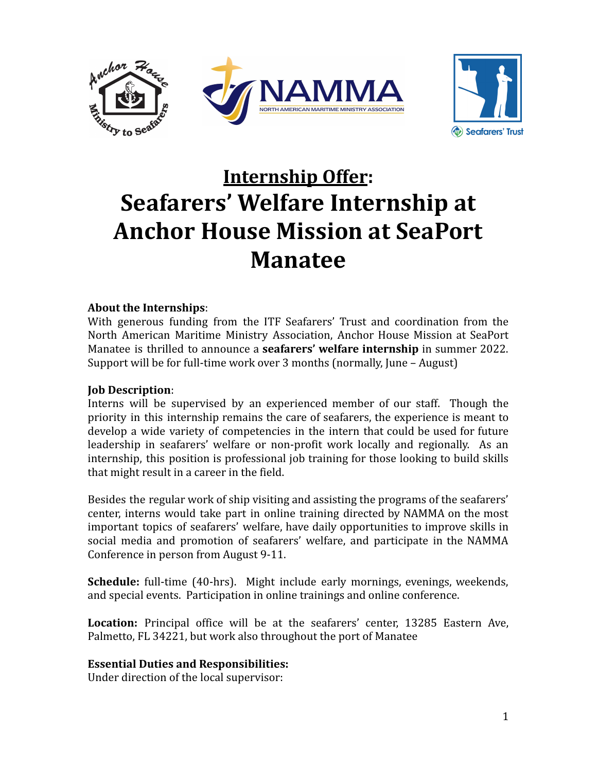



# **Internship Offer: Seafarers' Welfare Internship at Anchor House Mission at SeaPort Manatee**

## **About the Internships**:

With generous funding from the ITF Seafarers' Trust and coordination from the North American Maritime Ministry Association, Anchor House Mission at SeaPort Manatee is thrilled to announce a **seafarers' welfare internship** in summer 2022. Support will be for full-time work over 3 months (normally, June – August)

## **Job Description**:

Interns will be supervised by an experienced member of our staff. Though the priority in this internship remains the care of seafarers, the experience is meant to develop a wide variety of competencies in the intern that could be used for future leadership in seafarers' welfare or non-profit work locally and regionally. As an internship, this position is professional job training for those looking to build skills that might result in a career in the field.

Besides the regular work of ship visiting and assisting the programs of the seafarers' center, interns would take part in online training directed by NAMMA on the most important topics of seafarers' welfare, have daily opportunities to improve skills in social media and promotion of seafarers' welfare, and participate in the NAMMA Conference in person from August 9-11.

**Schedule:** full-time (40-hrs). Might include early mornings, evenings, weekends, and special events. Participation in online trainings and online conference.

**Location:** Principal office will be at the seafarers' center, 13285 Eastern Ave, Palmetto, FL 34221, but work also throughout the port of Manatee

## **Essential Duties and Responsibilities:**

Under direction of the local supervisor: